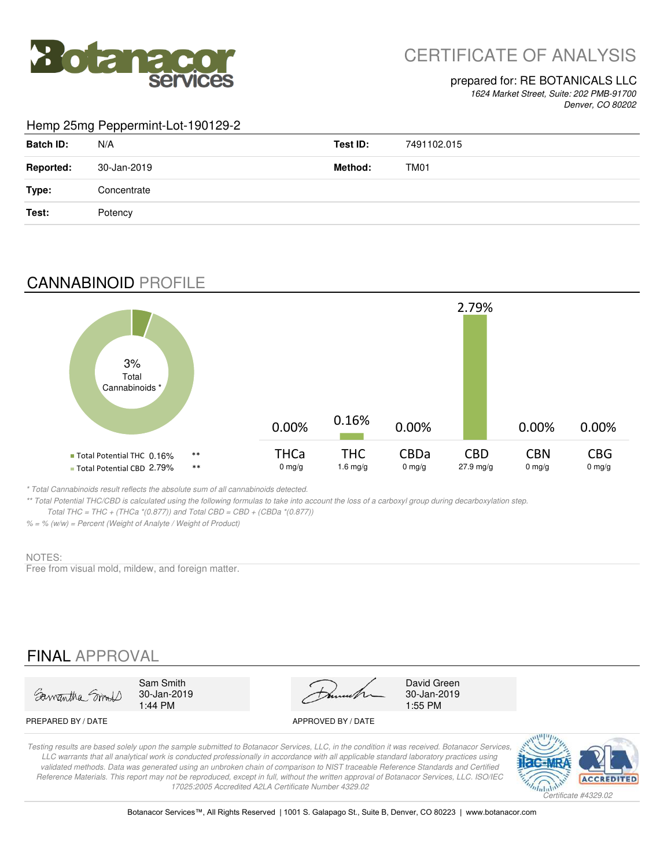

# CERTIFICATE OF ANALYSIS

## prepared for: RE BOTANICALS LLC

*1624 Market Street, Suite: 202 PMB-91700 Denver, CO 80202*

#### Hemp 25mg Peppermint-Lot-190129-2

| <b>Batch ID:</b> | N/A         | Test ID: | 7491102.015      |
|------------------|-------------|----------|------------------|
| <b>Reported:</b> | 30-Jan-2019 | Method:  | TM <sub>01</sub> |
| Type:            | Concentrate |          |                  |
| Test:            | Potency     |          |                  |

## CANNABINOID PROFILE



*\* Total Cannabinoids result reflects the absolute sum of all cannabinoids detected.*

*\*\* Total Potential THC/CBD is calculated using the following formulas to take into account the loss of a carboxyl group during decarboxylation step.* 

 *Total THC = THC + (THCa \*(0.877)) and Total CBD = CBD + (CBDa \*(0.877))*

*% = % (w/w) = Percent (Weight of Analyte / Weight of Product)*

#### NOTES:

Free from visual mold, mildew, and foreign matter.

## FINAL APPROVAL

Samantha Small

Sam Smith David Green 30-Jan-2019 30-Jan-2019 1:44 PM 1:55 PM

PREPARED BY / DATE APPROVED BY / DATE

*Testing results are based solely upon the sample submitted to Botanacor Services, LLC, in the condition it was received. Botanacor Services, LLC warrants that all analytical work is conducted professionally in accordance with all applicable standard laboratory practices using validated methods. Data was generated using an unbroken chain of comparison to NIST traceable Reference Standards and Certified Reference Materials. This report may not be reproduced, except in full, without the written approval of Botanacor Services, LLC. ISO/IEC 17025:2005 Accredited A2LA Certificate Number 4329.02*

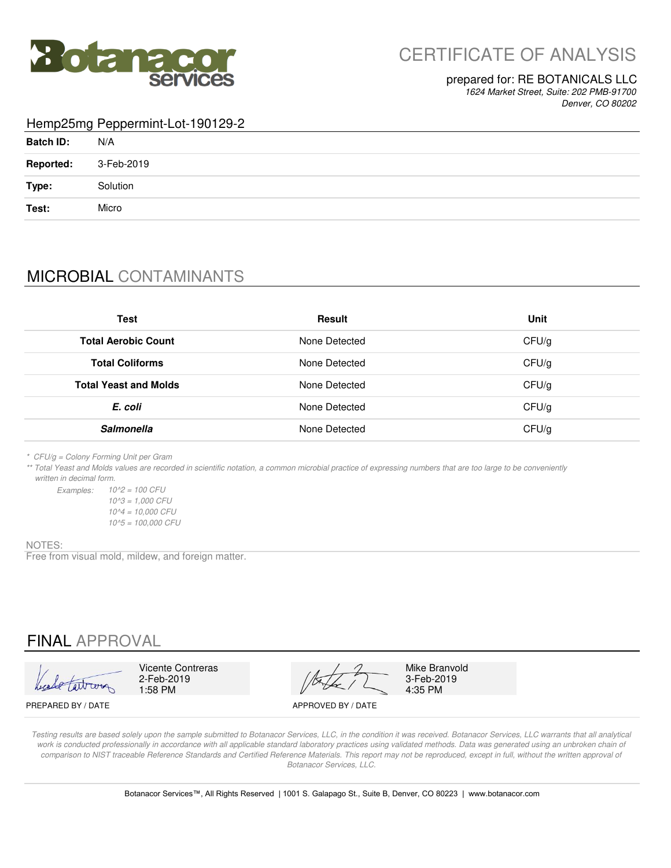

### prepared for: RE BOTANICALS LLC

*1624 Market Street, Suite: 202 PMB-91700 Denver, CO 80202*

#### Hemp25mg Peppermint-Lot-190129-2

| <b>Batch ID:</b> | N/A        |
|------------------|------------|
| <b>Reported:</b> | 3-Feb-2019 |
| Type:            | Solution   |
| Test:            | Micro      |

## MICROBIAL CONTAMINANTS

| <b>Test</b>                  | <b>Result</b> | Unit  |
|------------------------------|---------------|-------|
| <b>Total Aerobic Count</b>   | None Detected | CFU/g |
| <b>Total Coliforms</b>       | None Detected | CFU/g |
| <b>Total Yeast and Molds</b> | None Detected | CFU/g |
| E. coli                      | None Detected | CFU/g |
| <b>Salmonella</b>            | None Detected | CFU/g |

*\* CFU/g = Colony Forming Unit per Gram*

*\*\* Total Yeast and Molds values are recorded in scientific notation, a common microbial practice of expressing numbers that are too large to be conveniently written in decimal form.*

*Examples: 10^2 = 100 CFU 10^5 = 100,000 CFU 10^3 = 1,000 CFU 10^4 = 10,000 CFU*

#### NOTES:

Free from visual mold, mildew, and foreign matter.

## FINAL APPROVAL

2-Feb-2019<br>1:58 PM

1:58 PM  $\sqrt{2}$  4:35 PM Vicente Contreras Mike Branvold

3-Feb-2019<br>4:35 PM

PREPARED BY / DATE APPROVED BY / DATE

*Testing results are based solely upon the sample submitted to Botanacor Services, LLC, in the condition it was received. Botanacor Services, LLC warrants that all analytical*  work is conducted professionally in accordance with all applicable standard laboratory practices using validated methods. Data was generated using an unbroken chain of comparison to NIST traceable Reference Standards and Certified Reference Materials. This report may not be reproduced, except in full, without the written approval of *Botanacor Services, LLC.*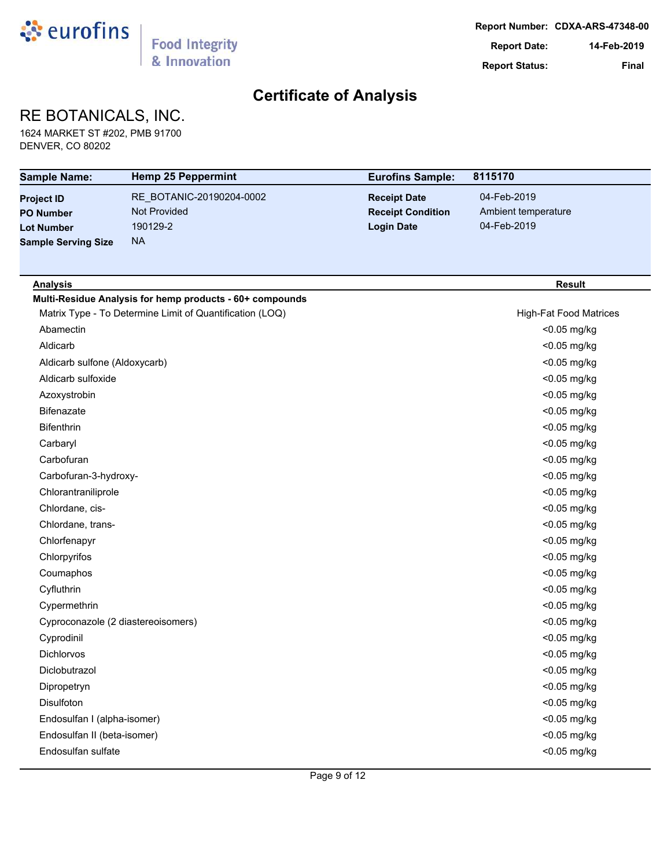

## RE BOTANICALS, INC.

1624 MARKET ST #202, PMB 91700 DENVER, CO 80202

| <b>Sample Name:</b>                | <b>Hemp 25 Peppermint</b>                                | <b>Eurofins Sample:</b>  | 8115170                       |
|------------------------------------|----------------------------------------------------------|--------------------------|-------------------------------|
| <b>Project ID</b>                  | RE BOTANIC-20190204-0002                                 | <b>Receipt Date</b>      | 04-Feb-2019                   |
| <b>PO Number</b>                   | <b>Not Provided</b>                                      | <b>Receipt Condition</b> | Ambient temperature           |
| <b>Lot Number</b>                  | 190129-2                                                 | <b>Login Date</b>        | 04-Feb-2019                   |
| <b>Sample Serving Size</b>         | <b>NA</b>                                                |                          |                               |
|                                    |                                                          |                          |                               |
| <b>Analysis</b>                    |                                                          |                          | <b>Result</b>                 |
|                                    | Multi-Residue Analysis for hemp products - 60+ compounds |                          |                               |
|                                    | Matrix Type - To Determine Limit of Quantification (LOQ) |                          | <b>High-Fat Food Matrices</b> |
| Abamectin                          |                                                          |                          | <0.05 mg/kg                   |
| Aldicarb                           |                                                          |                          | <0.05 mg/kg                   |
| Aldicarb sulfone (Aldoxycarb)      |                                                          |                          | <0.05 mg/kg                   |
| Aldicarb sulfoxide                 |                                                          |                          | <0.05 mg/kg                   |
| Azoxystrobin                       |                                                          |                          | <0.05 mg/kg                   |
| <b>Bifenazate</b>                  |                                                          |                          | <0.05 mg/kg                   |
| <b>Bifenthrin</b>                  |                                                          |                          | <0.05 mg/kg                   |
| Carbaryl                           |                                                          |                          | <0.05 mg/kg                   |
| Carbofuran                         |                                                          |                          | <0.05 mg/kg                   |
| Carbofuran-3-hydroxy-              |                                                          |                          | <0.05 mg/kg                   |
| Chlorantraniliprole                |                                                          |                          | <0.05 mg/kg                   |
| Chlordane, cis-                    |                                                          |                          | <0.05 mg/kg                   |
| Chlordane, trans-                  |                                                          |                          | <0.05 mg/kg                   |
| Chlorfenapyr                       |                                                          |                          | <0.05 mg/kg                   |
| Chlorpyrifos                       |                                                          |                          | <0.05 mg/kg                   |
| Coumaphos                          |                                                          |                          | <0.05 mg/kg                   |
| Cyfluthrin                         |                                                          |                          | <0.05 mg/kg                   |
| Cypermethrin                       |                                                          |                          | <0.05 mg/kg                   |
| Cyproconazole (2 diastereoisomers) |                                                          |                          | <0.05 mg/kg                   |
| Cyprodinil                         |                                                          |                          | <0.05 mg/kg                   |
| Dichlorvos                         |                                                          |                          | <0.05 mg/kg                   |
| Diclobutrazol                      |                                                          |                          | <0.05 mg/kg                   |
| Dipropetryn                        |                                                          |                          | <0.05 mg/kg                   |
| Disulfoton                         |                                                          |                          | <0.05 mg/kg                   |
| Endosulfan I (alpha-isomer)        |                                                          |                          | <0.05 mg/kg                   |
| Endosulfan II (beta-isomer)        |                                                          |                          | <0.05 mg/kg                   |
| Endosulfan sulfate                 |                                                          |                          | <0.05 mg/kg                   |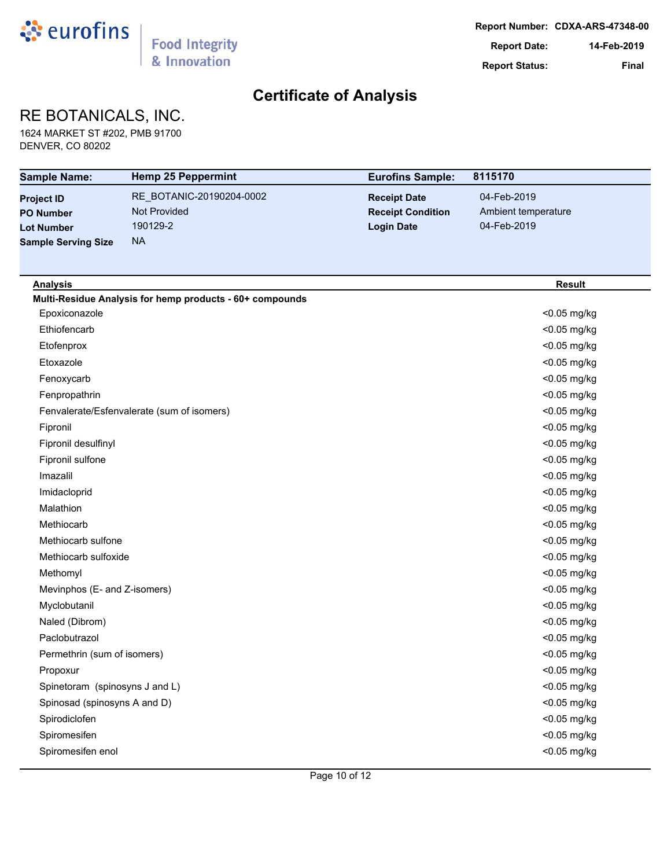

## RE BOTANICALS, INC.

1624 MARKET ST #202, PMB 91700 DENVER, CO 80202

| <b>Sample Name:</b>            | <b>Hemp 25 Peppermint</b>                                | <b>Eurofins Sample:</b>  | 8115170             |
|--------------------------------|----------------------------------------------------------|--------------------------|---------------------|
| <b>Project ID</b>              | RE BOTANIC-20190204-0002                                 | <b>Receipt Date</b>      | 04-Feb-2019         |
| <b>PO Number</b>               | Not Provided                                             | <b>Receipt Condition</b> | Ambient temperature |
| <b>Lot Number</b>              | 190129-2                                                 | <b>Login Date</b>        | 04-Feb-2019         |
| <b>Sample Serving Size</b>     | <b>NA</b>                                                |                          |                     |
|                                |                                                          |                          |                     |
| <b>Analysis</b>                |                                                          |                          | <b>Result</b>       |
|                                | Multi-Residue Analysis for hemp products - 60+ compounds |                          |                     |
| Epoxiconazole                  |                                                          |                          | <0.05 mg/kg         |
| Ethiofencarb                   |                                                          |                          | <0.05 mg/kg         |
| Etofenprox                     |                                                          |                          | <0.05 mg/kg         |
| Etoxazole                      |                                                          |                          | <0.05 mg/kg         |
| Fenoxycarb                     |                                                          |                          | <0.05 mg/kg         |
| Fenpropathrin                  |                                                          |                          | <0.05 mg/kg         |
|                                | Fenvalerate/Esfenvalerate (sum of isomers)               |                          | <0.05 mg/kg         |
| Fipronil                       |                                                          |                          | <0.05 mg/kg         |
| Fipronil desulfinyl            |                                                          |                          | <0.05 mg/kg         |
| Fipronil sulfone               |                                                          |                          | <0.05 mg/kg         |
| Imazalil                       |                                                          |                          | <0.05 mg/kg         |
| Imidacloprid                   |                                                          |                          | <0.05 mg/kg         |
| Malathion                      |                                                          |                          | <0.05 mg/kg         |
| Methiocarb                     |                                                          |                          | <0.05 mg/kg         |
| Methiocarb sulfone             |                                                          |                          | <0.05 mg/kg         |
| Methiocarb sulfoxide           |                                                          |                          | <0.05 mg/kg         |
| Methomyl                       |                                                          |                          | <0.05 mg/kg         |
| Mevinphos (E- and Z-isomers)   |                                                          |                          | <0.05 mg/kg         |
| Myclobutanil                   |                                                          |                          | <0.05 mg/kg         |
| Naled (Dibrom)                 |                                                          |                          | <0.05 mg/kg         |
| Paclobutrazol                  |                                                          |                          | <0.05 mg/kg         |
| Permethrin (sum of isomers)    |                                                          |                          | <0.05 mg/kg         |
| Propoxur                       |                                                          |                          | <0.05 mg/kg         |
| Spinetoram (spinosyns J and L) |                                                          |                          | <0.05 mg/kg         |
| Spinosad (spinosyns A and D)   |                                                          |                          | <0.05 mg/kg         |
| Spirodiclofen                  |                                                          |                          | <0.05 mg/kg         |
| Spiromesifen                   |                                                          |                          | <0.05 mg/kg         |
| Spiromesifen enol              |                                                          |                          | <0.05 mg/kg         |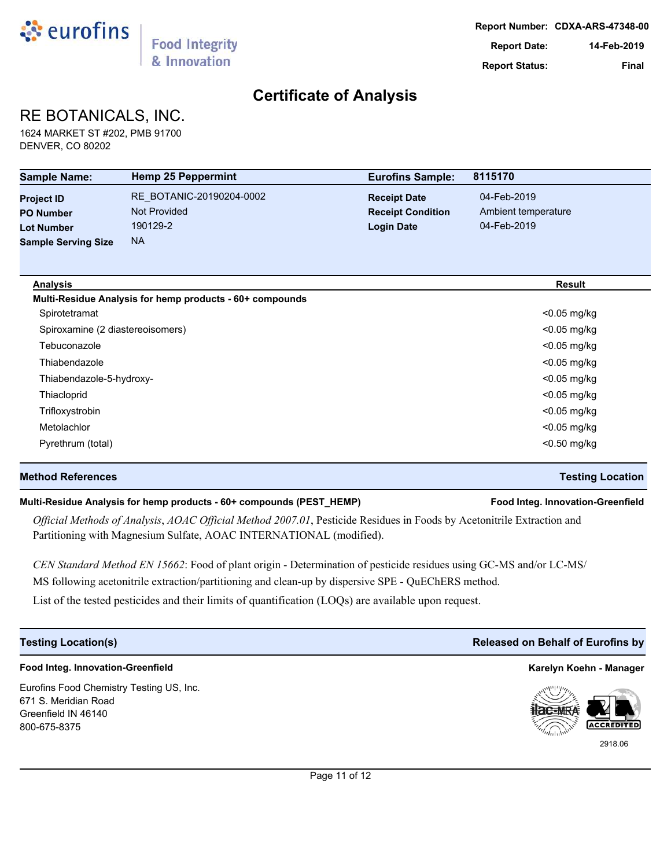

## RE BOTANICALS, INC.

1624 MARKET ST #202, PMB 91700 DENVER, CO 80202

| <b>Sample Name:</b>              | <b>Hemp 25 Peppermint</b>                                | <b>Eurofins Sample:</b>  | 8115170             |
|----------------------------------|----------------------------------------------------------|--------------------------|---------------------|
| <b>Project ID</b>                | RE_BOTANIC-20190204-0002                                 | <b>Receipt Date</b>      | 04-Feb-2019         |
| <b>PO Number</b>                 | <b>Not Provided</b>                                      | <b>Receipt Condition</b> | Ambient temperature |
| <b>Lot Number</b>                | 190129-2                                                 | <b>Login Date</b>        | 04-Feb-2019         |
| <b>Sample Serving Size</b>       | <b>NA</b>                                                |                          |                     |
| <b>Analysis</b>                  |                                                          |                          | <b>Result</b>       |
|                                  | Multi-Residue Analysis for hemp products - 60+ compounds |                          |                     |
| Spirotetramat                    |                                                          |                          | <0.05 mg/kg         |
| Spiroxamine (2 diastereoisomers) |                                                          |                          | $<$ 0.05 mg/kg      |
| Tebuconazole                     |                                                          |                          | $<$ 0.05 mg/kg      |
| Thiabendazole                    |                                                          |                          | $<$ 0.05 mg/kg      |
| Thiabendazole-5-hydroxy-         |                                                          |                          | $<$ 0.05 mg/kg      |
| Thiacloprid                      |                                                          |                          | <0.05 mg/kg         |
| Trifloxystrobin                  |                                                          |                          | $<$ 0.05 mg/kg      |
| Metolachlor                      |                                                          |                          | $<$ 0.05 mg/kg      |
| Pyrethrum (total)                |                                                          |                          | $<$ 0.50 mg/kg      |

### **Method References Testing Location**

### **Multi-Residue Analysis for hemp products - 60+ compounds (PEST\_HEMP) Food Integ. Innovation-Greenfield**

*Official Methods of Analysis*, *AOAC Official Method 2007.01*, Pesticide Residues in Foods by Acetonitrile Extraction and Partitioning with Magnesium Sulfate, AOAC INTERNATIONAL (modified).

*CEN Standard Method EN 15662*: Food of plant origin - Determination of pesticide residues using GC-MS and/or LC-MS/ MS following acetonitrile extraction/partitioning and clean-up by dispersive SPE - QuEChERS method.

List of the tested pesticides and their limits of quantification (LOQs) are available upon request.

## **Food Integ. Innovation-Greenfield Karelyn Koehn - Manager**

Eurofins Food Chemistry Testing US, Inc. 671 S. Meridian Road Greenfield IN 46140 800-675-8375

## **Testing Location(s) Released on Behalf of Eurofins by**



2918.06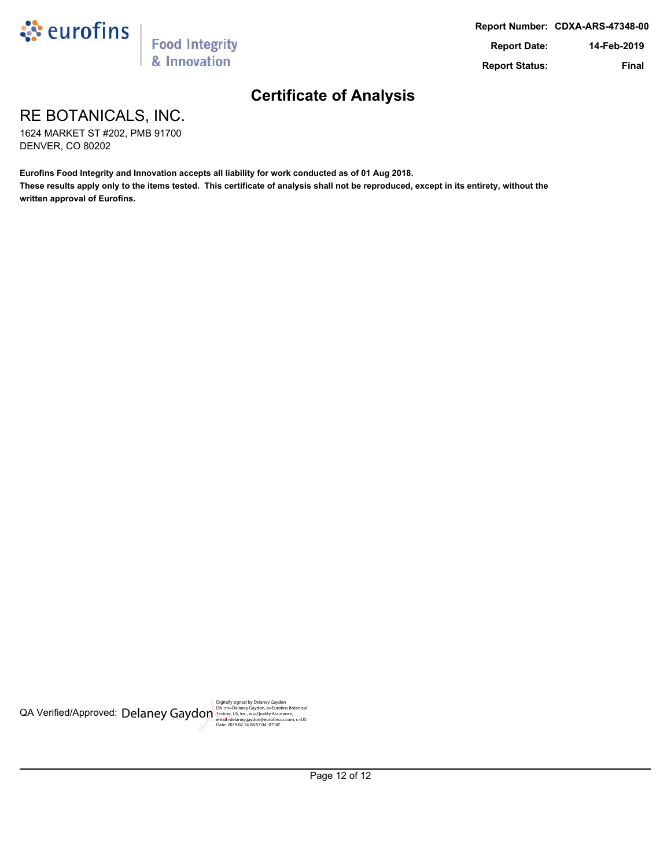

RE BOTANICALS, INC.

1624 MARKET ST #202, PMB 91700 DENVER, CO 80202

**Eurofins Food Integrity and Innovation accepts all liability for work conducted as of 01 Aug 2018. These results apply only to the items tested. This certificate of analysis shall not be reproduced, except in its entirety, without the written approval of Eurofins.**

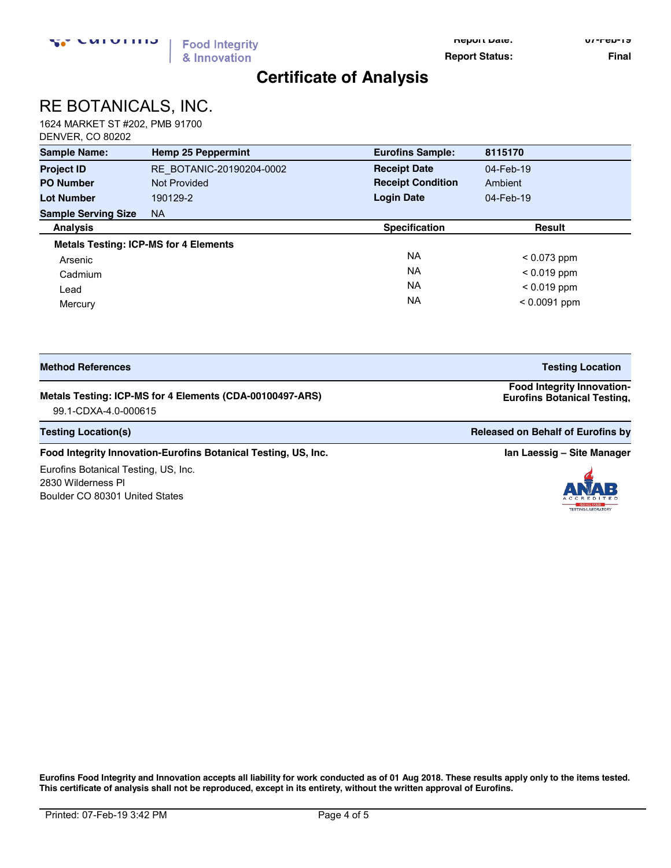**Report Date: 07-Feb-19**

**Report Status:** Final

## **Certificate of Analysis**

# RE BOTANICALS, INC.

1624 MARKET ST #202, PMB 91700 DENVER, CO 80202

| <b>Sample Name:</b>                          | <b>Hemp 25 Peppermint</b> | <b>Eurofins Sample:</b>  | 8115170        |
|----------------------------------------------|---------------------------|--------------------------|----------------|
| <b>Project ID</b>                            | RE BOTANIC-20190204-0002  | <b>Receipt Date</b>      | 04-Feb-19      |
| <b>PO Number</b>                             | <b>Not Provided</b>       | <b>Receipt Condition</b> | Ambient        |
| <b>Lot Number</b>                            | 190129-2                  | <b>Login Date</b>        | 04-Feb-19      |
| <b>Sample Serving Size</b>                   | <b>NA</b>                 |                          |                |
| <b>Analysis</b>                              |                           | <b>Specification</b>     | <b>Result</b>  |
| <b>Metals Testing: ICP-MS for 4 Elements</b> |                           |                          |                |
| Arsenic                                      |                           | NA.                      | $< 0.073$ ppm  |
| Cadmium                                      |                           | <b>NA</b>                | $< 0.019$ ppm  |
| Lead                                         |                           | <b>NA</b>                | $< 0.019$ ppm  |
| Mercury                                      |                           | <b>NA</b>                | $< 0.0091$ ppm |

| <b>Method References</b>                                 | <b>Testing Location</b>                                                 |
|----------------------------------------------------------|-------------------------------------------------------------------------|
| Metals Testing: ICP-MS for 4 Elements (CDA-00100497-ARS) | <b>Food Integrity Innovation-</b><br><b>Eurofins Botanical Testing.</b> |

99.1-CDXA-4.0-000615 **US, Inc.** 

**Testing Location(s) Released on Behalf of Eurofins by Released on Behalf of Eurofins by Released on Behalf of Eurofins by** 

#### **Food Integrity Innovation-Eurofins Botanical Testing, US, Inc. <b>In Accord 2018 In Laessig –** Site Manager

Eurofins Botanical Testing, US, Inc. 2830 Wilderness Pl Boulder CO 80301 United States